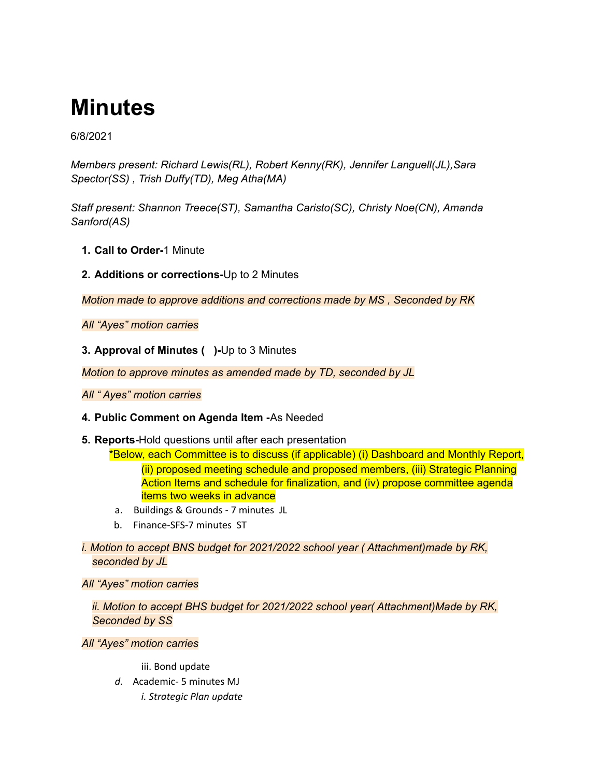# **Minutes**

6/8/2021

*Members present: Richard Lewis(RL), Robert Kenny(RK), Jennifer Languell(JL),Sara Spector(SS) , Trish Duffy(TD), Meg Atha(MA)*

*Staff present: Shannon Treece(ST), Samantha Caristo(SC), Christy Noe(CN), Amanda Sanford(AS)*

- **1. Call to Order-**1 Minute
- **2. Additions or corrections-**Up to 2 Minutes

*Motion made to approve additions and corrections made by MS , Seconded by RK*

*All "Ayes" motion carries*

**3. Approval of Minutes ( )-**Up to 3 Minutes

*Motion to approve minutes as amended made by TD, seconded by JL*

*All " Ayes" motion carries*

# **4. Public Comment on Agenda Item -**As Needed

**5. Reports-**Hold questions until after each presentation

\*Below, each Committee is to discuss (if applicable) (i) Dashboard and Monthly Report, (ii) proposed meeting schedule and proposed members, (iii) Strategic Planning Action Items and schedule for finalization, and (iv) propose committee agenda items two weeks in advance

- a. Buildings & Grounds 7 minutes JL
- b. Finance-SFS-7 minutes ST

*i. Motion to accept BNS budget for 2021/2022 school year ( Attachment)made by RK, seconded by JL*

*All "Ayes" motion carries*

*ii. Motion to accept BHS budget for 2021/2022 school year( Attachment)Made by RK, Seconded by SS*

*All "Ayes" motion carries*

iii. Bond update

*d.* Academic- 5 minutes MJ *i. Strategic Plan update*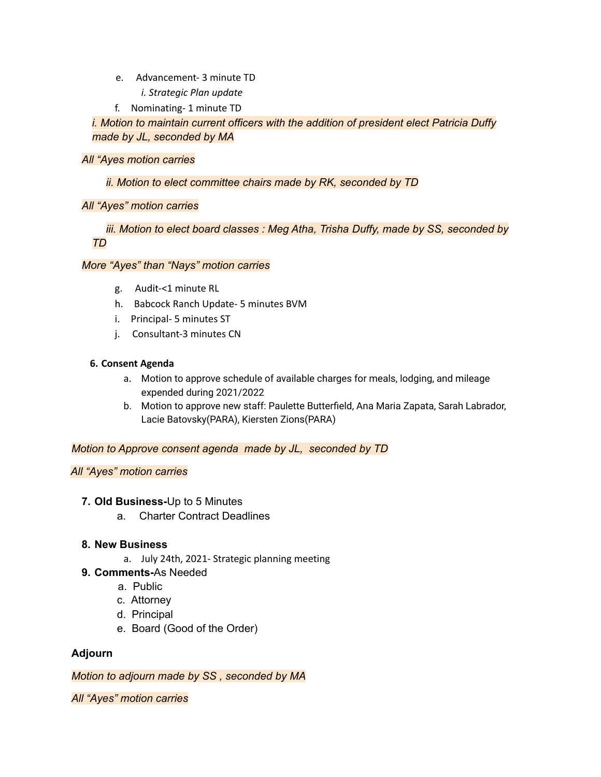- e. Advancement- 3 minute TD
	- *i. Strategic Plan update*
- f. Nominating- 1 minute TD

*i. Motion to maintain current officers with the addition of president elect Patricia Duffy made by JL, seconded by MA*

# *All "Ayes motion carries*

#### *ii. Motion to elect committee chairs made by RK, seconded by TD*

#### *All "Ayes" motion carries*

*iii. Motion to elect board classes : Meg Atha, Trisha Duffy, made by SS, seconded by TD*

#### *More "Ayes" than "Nays" motion carries*

- g. Audit-<1 minute RL
- h. Babcock Ranch Update- 5 minutes BVM
- i. Principal- 5 minutes ST
- j. Consultant-3 minutes CN

#### **6. Consent Agenda**

- a. Motion to approve schedule of available charges for meals, lodging, and mileage expended during 2021/2022
- b. Motion to approve new staff: Paulette Butterfield, Ana Maria Zapata, Sarah Labrador, Lacie Batovsky(PARA), Kiersten Zions(PARA)

*Motion to Approve consent agenda made by JL, seconded by TD*

# *All "Ayes" motion carries*

# **7. Old Business-**Up to 5 Minutes

a. Charter Contract Deadlines

# **8. New Business**

- a. July 24th, 2021- Strategic planning meeting
- **9. Comments-**As Needed
	- a. Public
	- c. Attorney
	- d. Principal
	- e. Board (Good of the Order)

# **Adjourn**

*Motion to adjourn made by SS , seconded by MA*

*All "Ayes" motion carries*